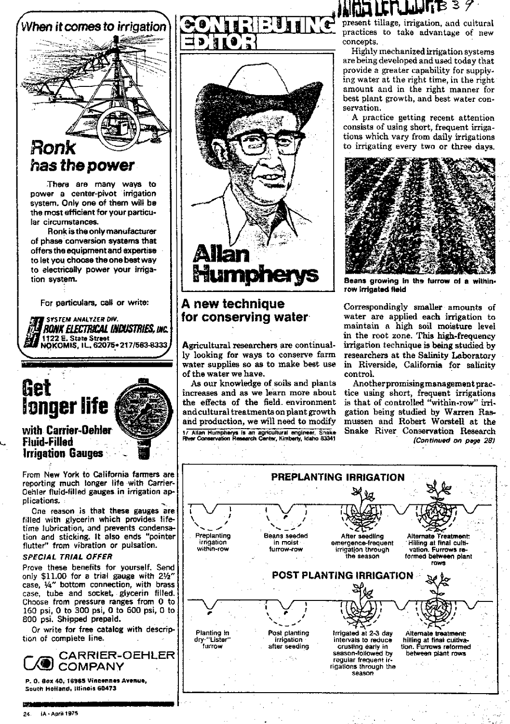

**There are many ways to power a center-pivot irrigation system. Only one of them will be the most efficient for your particular circumstances.**

**Ronk is the only manufacturer of phase conversion systems that offers the equipment and expertise to let you choose the one best way to electrically power your irrigation system.**

**For particulars, call or write:**<br> **I SYSTEM ANALYZER DIV.**<br> *IN BONK ELECTRICAL INFOUSTRIES, INC.* **L NOKOMIS,** IL. **62075**.**.217/563-8333**



## **Fluid-Filled irrigation Gauges**

From New York to California fanners are reporting much longer life with Carrier-Oehler fluid-filled gauges in irrigation applications.

One reason is that these gauges are filled with glycerin which provides lifetime lubrication, and prevents condensation and sticking. It also ends "pointer flutter" from vibration or pulsation.

## **SPECIAL TRIAL OFFER**

Prove these benefits for yourself. Send only \$11.00 for a trial gauge with 21/2" case, 1/4" bottom connection, with brass case, tube and socket, glycerin filled. Choose from pressure ranges from 0 to 160 psi, 0 to 300 psi, 0 to 600 psi, 0 to 800 psi. Shipped prepaid.

Or write for free catalog with description of complete line.



**P. 0. llox 40, 16965 Vincennes Avenue,** south Holland, Illinois **60473**





## **A new technique for conserving water**

Agricultural researchers are continually looking for ways to conserve farm water supplies so as to make best use of the water we have.

As our knowledge of soils and plants increases and as we learn more about the effects of the field. environment and cultural treatments on plant growth and production, we will need to modify **Allan Humpherts is an agricultural engineer, Snake River Conservation Research Center, Kimberly, wales 83341**

## $101$  LCC which be been

**ti present tillage**, irrigation, and cultural practices to take advantage of new concepts.

Highly mechanized irrigation systems are being developed and used today that provide a greater capability for supplying water at the right time, in the right amount and in the right manner for best plant growth, and best water conservation.

A practice getting recent attention consists of using short, frequent irrigations which vary from daily irrigations to irrigating every two or three days.



**Beans growing In the furrow of a within**row **Irrigated field**

Correspondingly smaller amounts of water are applied each irrigation to maintain a high soil moisture level in the root zone. This high-frequency irrigation technique is being studied by researchers at the Salinity Laboratory in Riverside, California for salinity control.

Another promising management practice using short, frequent irrigations is that of controlled "within-row" irrigation being studied by Warren Rasmussen and Robert Worstell at the Snake River Conservation Research *(Continued on page 28)*